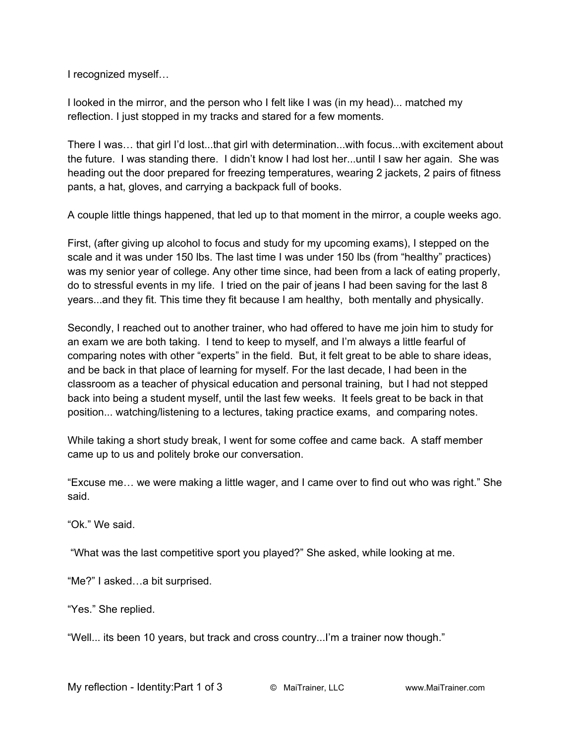I recognized myself…

I looked in the mirror, and the person who I felt like I was (in my head)... matched my reflection. I just stopped in my tracks and stared for a few moments.

There I was… that girl I'd lost...that girl with determination...with focus...with excitement about the future. I was standing there. I didn't know I had lost her...until I saw her again. She was heading out the door prepared for freezing temperatures, wearing 2 jackets, 2 pairs of fitness pants, a hat, gloves, and carrying a backpack full of books.

A couple little things happened, that led up to that moment in the mirror, a couple weeks ago.

First, (after giving up alcohol to focus and study for my upcoming exams), I stepped on the scale and it was under 150 lbs. The last time I was under 150 lbs (from "healthy" practices) was my senior year of college. Any other time since, had been from a lack of eating properly, do to stressful events in my life. I tried on the pair of jeans I had been saving for the last 8 years...and they fit. This time they fit because I am healthy, both mentally and physically.

Secondly, I reached out to another trainer, who had offered to have me join him to study for an exam we are both taking. I tend to keep to myself, and I'm always a little fearful of comparing notes with other "experts" in the field. But, it felt great to be able to share ideas, and be back in that place of learning for myself. For the last decade, I had been in the classroom as a teacher of physical education and personal training, but I had not stepped back into being a student myself, until the last few weeks. It feels great to be back in that position... watching/listening to a lectures, taking practice exams, and comparing notes.

While taking a short study break, I went for some coffee and came back. A staff member came up to us and politely broke our conversation.

"Excuse me… we were making a little wager, and I came over to find out who was right." She said.

"Ok." We said.

"What was the last competitive sport you played?" She asked, while looking at me.

"Me?" I asked…a bit surprised.

"Yes." She replied.

"Well... its been 10 years, but track and cross country...I'm a trainer now though."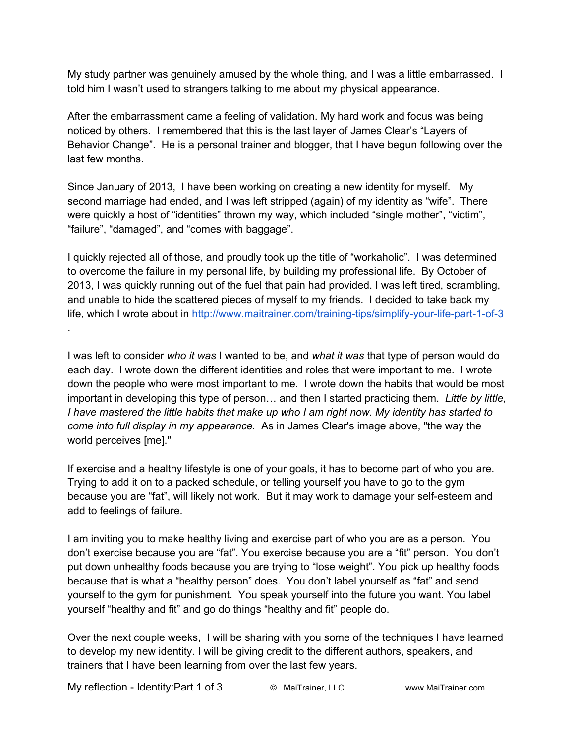My study partner was genuinely amused by the whole thing, and I was a little embarrassed. I told him I wasn't used to strangers talking to me about my physical appearance.

After the embarrassment came a feeling of validation. My hard work and focus was being noticed by others. I remembered that this is the last layer of James Clear's "Layers of Behavior Change". He is a personal trainer and blogger, that I have begun following over the last few months.

Since January of 2013, I have been working on creating a new identity for myself. My second marriage had ended, and I was left stripped (again) of my identity as "wife". There were quickly a host of "identities" thrown my way, which included "single mother", "victim", "failure", "damaged", and "comes with baggage".

I quickly rejected all of those, and proudly took up the title of "workaholic". I was determined to overcome the failure in my personal life, by building my professional life. By October of 2013, I was quickly running out of the fuel that pain had provided. I was left tired, scrambling, and unable to hide the scattered pieces of myself to my friends. I decided to take back my life, which I wrote about in http://www.maitrainer.com/training-tips/simplify-your-life-part-1-of-3 .

I was left to consider *who it was* I wanted to be, and *what it was* that type of person would do each day. I wrote down the different identities and roles that were important to me. I wrote down the people who were most important to me. I wrote down the habits that would be most important in developing this type of person… and then I started practicing them. *Little by little,* I have mastered the little habits that make up who I am right now. My identity has started to *come into full display in my appearance.* As in James Clear's image above, "the way the world perceives [me]."

If exercise and a healthy lifestyle is one of your goals, it has to become part of who you are. Trying to add it on to a packed schedule, or telling yourself you have to go to the gym because you are "fat", will likely not work. But it may work to damage your self-esteem and add to feelings of failure.

I am inviting you to make healthy living and exercise part of who you are as a person. You don't exercise because you are "fat". You exercise because you are a "fit" person. You don't put down unhealthy foods because you are trying to "lose weight". You pick up healthy foods because that is what a "healthy person" does. You don't label yourself as "fat" and send yourself to the gym for punishment. You speak yourself into the future you want. You label yourself "healthy and fit" and go do things "healthy and fit" people do.

Over the next couple weeks, I will be sharing with you some of the techniques I have learned to develop my new identity. I will be giving credit to the different authors, speakers, and trainers that I have been learning from over the last few years.

My reflection Identity:Part 1 of 3 © MaiTrainer, LLC www.MaiTrainer.com